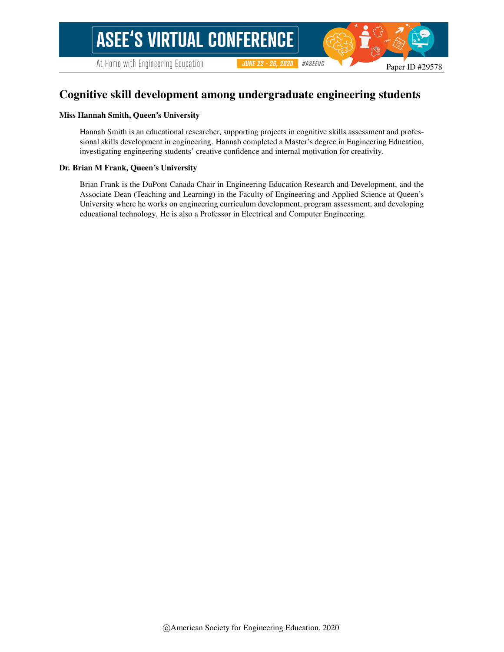At Home with Engineering Education

#ASEEVC **JUNE 22 - 26, 2020** 

# Cognitive skill development among undergraduate engineering students

#### Miss Hannah Smith, Queen's University

Hannah Smith is an educational researcher, supporting projects in cognitive skills assessment and professional skills development in engineering. Hannah completed a Master's degree in Engineering Education, investigating engineering students' creative confidence and internal motivation for creativity.

#### Dr. Brian M Frank, Queen's University

Brian Frank is the DuPont Canada Chair in Engineering Education Research and Development, and the Associate Dean (Teaching and Learning) in the Faculty of Engineering and Applied Science at Queen's University where he works on engineering curriculum development, program assessment, and developing educational technology. He is also a Professor in Electrical and Computer Engineering.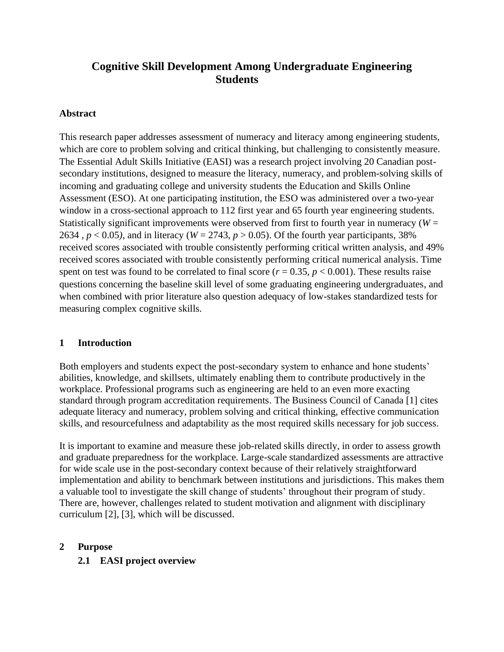# **Cognitive Skill Development Among Undergraduate Engineering Students**

#### **Abstract**

This research paper addresses assessment of numeracy and literacy among engineering students, which are core to problem solving and critical thinking, but challenging to consistently measure. The Essential Adult Skills Initiative (EASI) was a research project involving 20 Canadian postsecondary institutions, designed to measure the literacy, numeracy, and problem-solving skills of incoming and graduating college and university students the Education and Skills Online Assessment (ESO). At one participating institution, the ESO was administered over a two-year window in a cross-sectional approach to 112 first year and 65 fourth year engineering students. Statistically significant improvements were observed from first to fourth year in numeracy ( $W =$ 2634,  $p < 0.05$ ), and in literacy ( $W = 2743$ ,  $p > 0.05$ ). Of the fourth year participants, 38% received scores associated with trouble consistently performing critical written analysis, and 49% received scores associated with trouble consistently performing critical numerical analysis. Time spent on test was found to be correlated to final score ( $r = 0.35$ ,  $p < 0.001$ ). These results raise questions concerning the baseline skill level of some graduating engineering undergraduates, and when combined with prior literature also question adequacy of low-stakes standardized tests for measuring complex cognitive skills.

### **1 Introduction**

Both employers and students expect the post-secondary system to enhance and hone students' abilities, knowledge, and skillsets, ultimately enabling them to contribute productively in the workplace. Professional programs such as engineering are held to an even more exacting standard through program accreditation requirements. The Business Council of Canada [1] cites adequate literacy and numeracy, problem solving and critical thinking, effective communication skills, and resourcefulness and adaptability as the most required skills necessary for job success.

It is important to examine and measure these job-related skills directly, in order to assess growth and graduate preparedness for the workplace. Large-scale standardized assessments are attractive for wide scale use in the post-secondary context because of their relatively straightforward implementation and ability to benchmark between institutions and jurisdictions. This makes them a valuable tool to investigate the skill change of students' throughout their program of study. There are, however, challenges related to student motivation and alignment with disciplinary curriculum [2], [3], which will be discussed.

#### **2 Purpose**

**2.1 EASI project overview**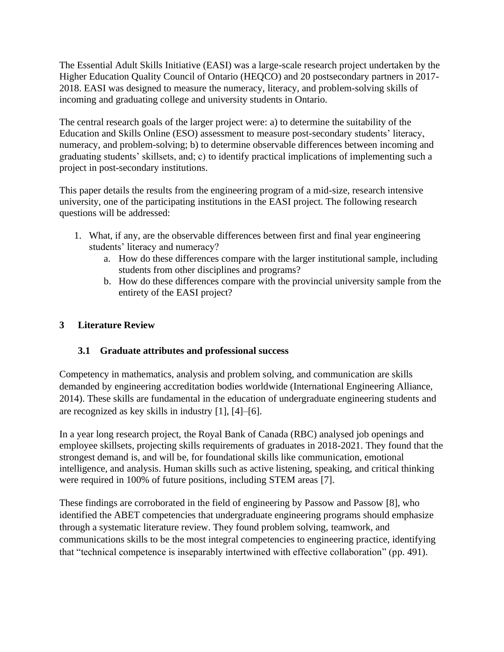The Essential Adult Skills Initiative (EASI) was a large-scale research project undertaken by the Higher Education Quality Council of Ontario (HEQCO) and 20 postsecondary partners in 2017- 2018. EASI was designed to measure the numeracy, literacy, and problem-solving skills of incoming and graduating college and university students in Ontario.

The central research goals of the larger project were: a) to determine the suitability of the Education and Skills Online (ESO) assessment to measure post-secondary students' literacy, numeracy, and problem-solving; b) to determine observable differences between incoming and graduating students' skillsets, and; c) to identify practical implications of implementing such a project in post-secondary institutions.

This paper details the results from the engineering program of a mid-size, research intensive university, one of the participating institutions in the EASI project. The following research questions will be addressed:

- 1. What, if any, are the observable differences between first and final year engineering students' literacy and numeracy?
	- a. How do these differences compare with the larger institutional sample, including students from other disciplines and programs?
	- b. How do these differences compare with the provincial university sample from the entirety of the EASI project?

## **3 Literature Review**

### **3.1 Graduate attributes and professional success**

Competency in mathematics, analysis and problem solving, and communication are skills demanded by engineering accreditation bodies worldwide (International Engineering Alliance, 2014). These skills are fundamental in the education of undergraduate engineering students and are recognized as key skills in industry [1], [4]–[6].

In a year long research project, the Royal Bank of Canada (RBC) analysed job openings and employee skillsets, projecting skills requirements of graduates in 2018-2021. They found that the strongest demand is, and will be, for foundational skills like communication, emotional intelligence, and analysis. Human skills such as active listening, speaking, and critical thinking were required in 100% of future positions, including STEM areas [7].

These findings are corroborated in the field of engineering by Passow and Passow [8], who identified the ABET competencies that undergraduate engineering programs should emphasize through a systematic literature review. They found problem solving, teamwork, and communications skills to be the most integral competencies to engineering practice, identifying that "technical competence is inseparably intertwined with effective collaboration" (pp. 491).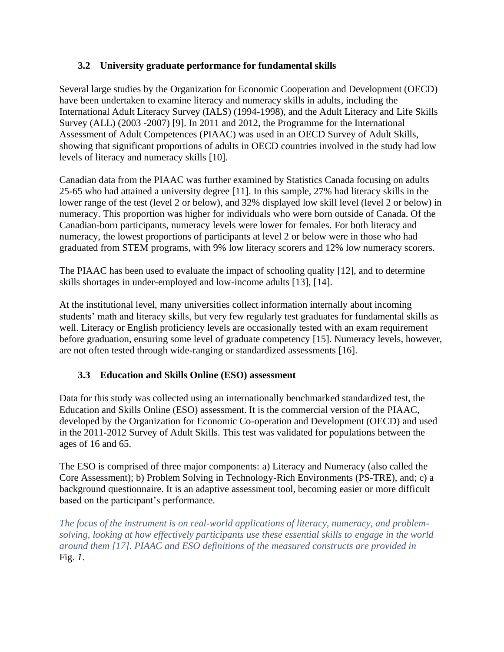## **3.2 University graduate performance for fundamental skills**

Several large studies by the Organization for Economic Cooperation and Development (OECD) have been undertaken to examine literacy and numeracy skills in adults, including the International Adult Literacy Survey (IALS) (1994-1998), and the Adult Literacy and Life Skills Survey (ALL) (2003 -2007) [9]. In 2011 and 2012, the Programme for the International Assessment of Adult Competences (PIAAC) was used in an OECD Survey of Adult Skills, showing that significant proportions of adults in OECD countries involved in the study had low levels of literacy and numeracy skills [10].

Canadian data from the PIAAC was further examined by Statistics Canada focusing on adults 25-65 who had attained a university degree [11]. In this sample, 27% had literacy skills in the lower range of the test (level 2 or below), and 32% displayed low skill level (level 2 or below) in numeracy. This proportion was higher for individuals who were born outside of Canada. Of the Canadian-born participants, numeracy levels were lower for females. For both literacy and numeracy, the lowest proportions of participants at level 2 or below were in those who had graduated from STEM programs, with 9% low literacy scorers and 12% low numeracy scorers.

The PIAAC has been used to evaluate the impact of schooling quality [12], and to determine skills shortages in under-employed and low-income adults [13], [14].

At the institutional level, many universities collect information internally about incoming students' math and literacy skills, but very few regularly test graduates for fundamental skills as well. Literacy or English proficiency levels are occasionally tested with an exam requirement before graduation, ensuring some level of graduate competency [15]. Numeracy levels, however, are not often tested through wide-ranging or standardized assessments [16].

## **3.3 Education and Skills Online (ESO) assessment**

Data for this study was collected using an internationally benchmarked standardized test, the Education and Skills Online (ESO) assessment. It is the commercial version of the PIAAC, developed by the Organization for Economic Co-operation and Development (OECD) and used in the 2011-2012 Survey of Adult Skills. This test was validated for populations between the ages of 16 and 65.

The ESO is comprised of three major components: a) Literacy and Numeracy (also called the Core Assessment); b) Problem Solving in Technology-Rich Environments (PS-TRE), and; c) a background questionnaire. It is an adaptive assessment tool, becoming easier or more difficult based on the participant's performance.

*The focus of the instrument is on real-world applications of literacy, numeracy, and problemsolving, looking at how effectively participants use these essential skills to engage in the [world](#page-4-0)  around them [17]. PIAAC and ESO definitions of the measured constructs are provided in* [Fig.](#page-4-0) *1*.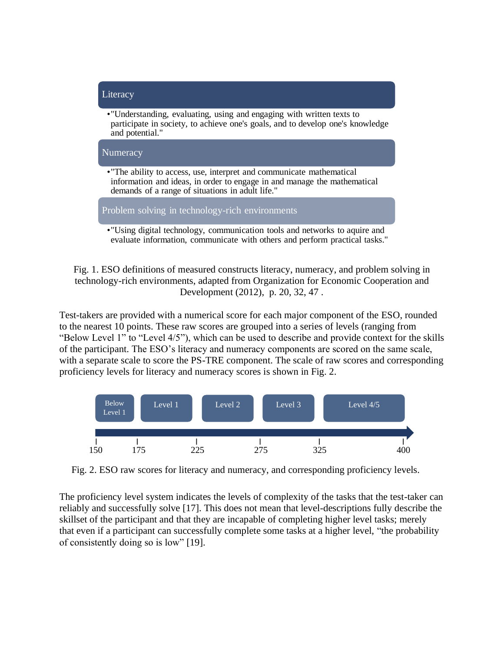

<span id="page-4-0"></span>Fig. 1. ESO definitions of measured constructs literacy, numeracy, and problem solving in technology-rich environments, adapted from Organization for Economic Cooperation and Development (2012), p. 20, 32, 47 .

Test-takers are provided with a numerical score for each major component of the ESO, rounded to the nearest 10 points. These raw scores are grouped into a series of levels (ranging from "Below Level 1" to "Level 4/5"), which can be used to describe and provide context for the skills of the participant. The ESO's literacy and numeracy components are scored on the same scale, with a separate scale to score the PS-TRE component. The scale of raw scores and corresponding proficiency levels for literacy and numeracy scores is shown in Fig. 2.



Fig. 2. ESO raw scores for literacy and numeracy, and corresponding proficiency levels.

The proficiency level system indicates the levels of complexity of the tasks that the test-taker can reliably and successfully solve [17]. This does not mean that level-descriptions fully describe the skillset of the participant and that they are incapable of completing higher level tasks; merely that even if a participant can successfully complete some tasks at a higher level, "the probability of consistently doing so is low" [19].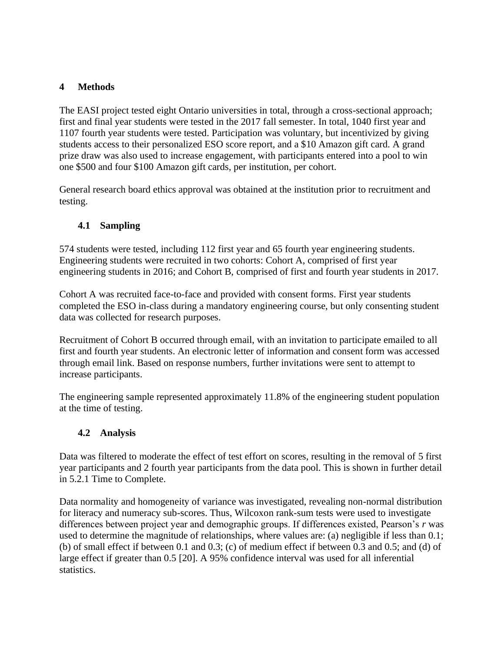## **4 Methods**

The EASI project tested eight Ontario universities in total, through a cross-sectional approach; first and final year students were tested in the 2017 fall semester. In total, 1040 first year and 1107 fourth year students were tested. Participation was voluntary, but incentivized by giving students access to their personalized ESO score report, and a \$10 Amazon gift card. A grand prize draw was also used to increase engagement, with participants entered into a pool to win one \$500 and four \$100 Amazon gift cards, per institution, per cohort.

General research board ethics approval was obtained at the institution prior to recruitment and testing.

## **4.1 Sampling**

574 students were tested, including 112 first year and 65 fourth year engineering students. Engineering students were recruited in two cohorts: Cohort A, comprised of first year engineering students in 2016; and Cohort B, comprised of first and fourth year students in 2017.

Cohort A was recruited face-to-face and provided with consent forms. First year students completed the ESO in-class during a mandatory engineering course, but only consenting student data was collected for research purposes.

Recruitment of Cohort B occurred through email, with an invitation to participate emailed to all first and fourth year students. An electronic letter of information and consent form was accessed through email link. Based on response numbers, further invitations were sent to attempt to increase participants.

The engineering sample represented approximately 11.8% of the engineering student population at the time of testing.

## **4.2 Analysis**

Data was filtered to moderate the effect of test effort on scores, resulting in the removal of 5 first year participants and 2 fourth year participants from the data pool. This is shown in further detail in 5.2.1 Time to Complete.

Data normality and homogeneity of variance was investigated, revealing non-normal distribution for literacy and numeracy sub-scores. Thus, Wilcoxon rank-sum tests were used to investigate differences between project year and demographic groups. If differences existed, Pearson's *r* was used to determine the magnitude of relationships, where values are: (a) negligible if less than 0.1; (b) of small effect if between 0.1 and 0.3; (c) of medium effect if between 0.3 and 0.5; and (d) of large effect if greater than 0.5 [20]. A 95% confidence interval was used for all inferential statistics.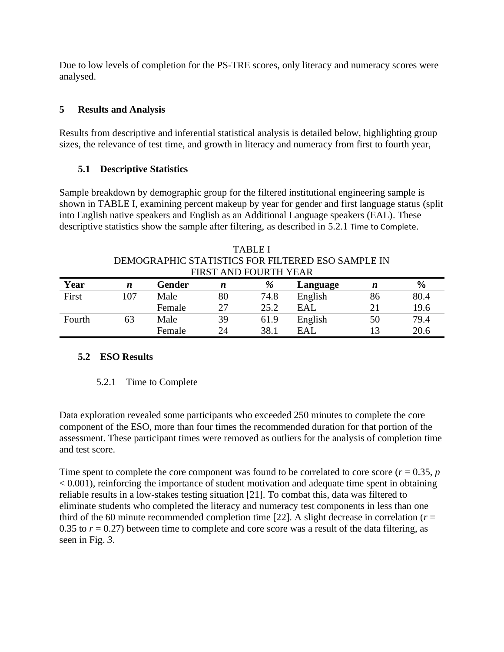Due to low levels of completion for the PS-TRE scores, only literacy and numeracy scores were analysed.

#### **5 Results and Analysis**

Results from descriptive and inferential statistical analysis is detailed below, highlighting group sizes, the relevance of test time, and growth in literacy and numeracy from first to fourth year,

#### **5.1 Descriptive Statistics**

Sample breakdown by demographic group for the filtered institutional engineering sample is shown in [TABLE](#page-6-0) I, examining percent makeup by year for gender and first language status (split into English native speakers and English as an Additional Language speakers (EAL). These descriptive statistics show the sample after filtering, as described in [5.2.1](#page-6-1) [Time to Complete](#page-6-1).

<span id="page-6-0"></span>

|        |     | FIRST AND FOURTH YEAR |                  |      |          |    |               |
|--------|-----|-----------------------|------------------|------|----------|----|---------------|
| Year   | n   | <b>Gender</b>         | $\boldsymbol{n}$ | %    | Language | n  | $\frac{6}{9}$ |
| First  | 107 | Male                  | 80               | 74.8 | English  | 86 | 80.4          |
|        |     | Female                | 27               | 25.2 | EAL      |    | 19.6          |
| Fourth | 63  | Male                  | 39               | 61.9 | English  | 50 | 79.4          |
|        |     | Female                | 24               | 38.1 | EAL      |    | 20.6          |

# TABLE I DEMOGRAPHIC STATISTICS FOR FILTERED ESO SAMPLE IN

### <span id="page-6-1"></span>**5.2 ESO Results**

#### 5.2.1 Time to Complete

Data exploration revealed some participants who exceeded 250 minutes to complete the core component of the ESO, more than four times the recommended duration for that portion of the assessment. These participant times were removed as outliers for the analysis of completion time and test score.

Time spent to complete the core component was found to be correlated to core score ( $r = 0.35$ ,  $p$ )  $< 0.001$ ), reinforcing the importance of student motivation and adequate time spent in obtaining reliable results in a low-stakes testing situation [21]. To combat this, data was filtered to eliminate students who completed the literacy and numeracy test components in less than one third of the 60 minute recommended completion time [22]. A slight decrease in correlation ( $r =$ 0.35 to  $r = 0.27$ ) between time to complete and core score was a result of the data filtering, as seen in [Fig.](#page-7-0) *3*.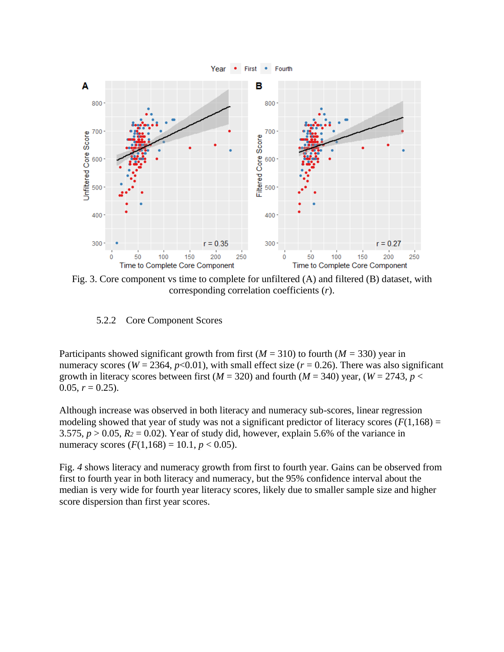

<span id="page-7-0"></span>Fig. 3. Core component vs time to complete for unfiltered (A) and filtered (B) dataset, with corresponding correlation coefficients (*r*).

5.2.2 Core Component Scores

Participants showed significant growth from first  $(M = 310)$  to fourth  $(M = 330)$  year in numeracy scores ( $W = 2364$ ,  $p < 0.01$ ), with small effect size ( $r = 0.26$ ). There was also significant growth in literacy scores between first ( $M = 320$ ) and fourth ( $M = 340$ ) year, ( $W = 2743$ ,  $p <$ 0.05,  $r = 0.25$ ).

Although increase was observed in both literacy and numeracy sub-scores, linear regression modeling showed that year of study was not a significant predictor of literacy scores  $(F(1,168)) =$ 3.575,  $p > 0.05$ ,  $R_2 = 0.02$ ). Year of study did, however, explain 5.6% of the variance in numeracy scores  $(F(1,168) = 10.1, p < 0.05)$ .

[Fig.](#page-8-0) *4* shows literacy and numeracy growth from first to fourth year. Gains can be observed from first to fourth year in both literacy and numeracy, but the 95% confidence interval about the median is very wide for fourth year literacy scores, likely due to smaller sample size and higher score dispersion than first year scores.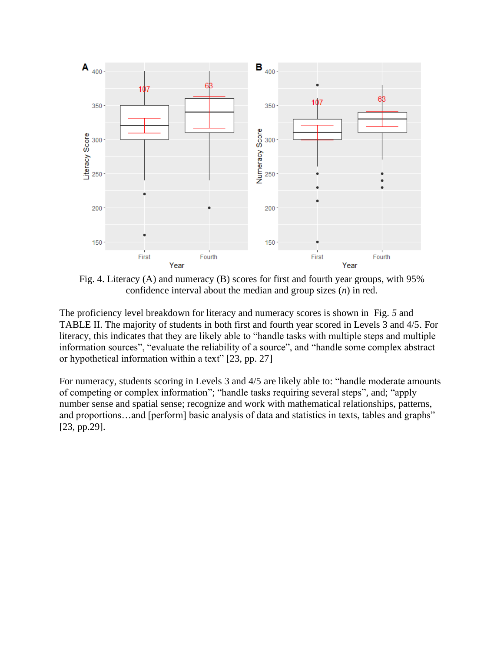

<span id="page-8-0"></span>Fig. 4. Literacy (A) and numeracy (B) scores for first and fourth year groups, with 95% confidence interval about the median and group sizes (*n*) in red.

The proficiency level breakdown for literacy and numeracy scores is shown in [Fig.](#page-9-0) *5* and [TABLE](#page-9-1) II. The majority of students in both first and fourth year scored in Levels 3 and 4/5. For literacy, this indicates that they are likely able to "handle tasks with multiple steps and multiple information sources", "evaluate the reliability of a source", and "handle some complex abstract or hypothetical information within a text" [23, pp. 27]

For numeracy, students scoring in Levels 3 and 4/5 are likely able to: "handle moderate amounts of competing or complex information"; "handle tasks requiring several steps", and; "apply number sense and spatial sense; recognize and work with mathematical relationships, patterns, and proportions…and [perform] basic analysis of data and statistics in texts, tables and graphs" [23, pp.29].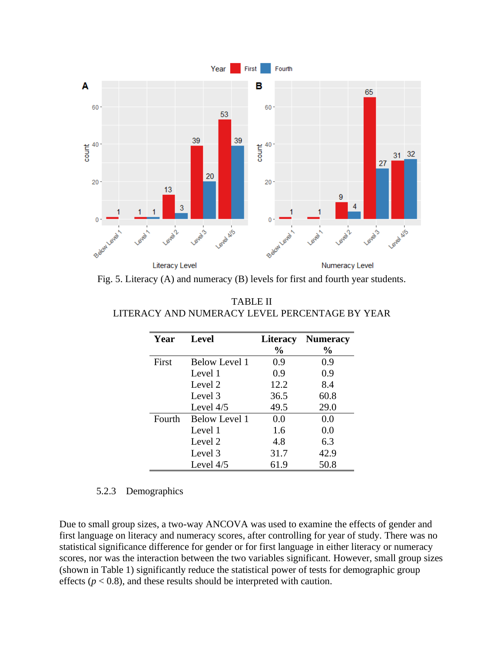

<span id="page-9-1"></span><span id="page-9-0"></span>Fig. 5. Literacy (A) and numeracy (B) levels for first and fourth year students.

| Year   | <b>Level</b>         | <b>Literacy</b> | <b>Numeracy</b> |
|--------|----------------------|-----------------|-----------------|
|        |                      | $\frac{0}{0}$   | $\frac{1}{2}$   |
| First  | <b>Below Level 1</b> | 0.9             | 0.9             |
|        | Level 1              | 0.9             | 0.9             |
|        | Level 2              | 12.2            | 8.4             |
|        | Level 3              | 36.5            | 60.8            |
|        | Level $4/5$          | 49.5            | 29.0            |
| Fourth | Below Level 1        | 0.0             | 0.0             |
|        | Level 1              | 1.6             | 0.0             |
|        | Level 2              | 4.8             | 6.3             |
|        | Level 3              | 31.7            | 42.9            |
|        | Level $4/5$          | 61.9            | 50.8            |

TABLE II LITERACY AND NUMERACY LEVEL PERCENTAGE BY YEAR

### 5.2.3 Demographics

Due to small group sizes, a two-way ANCOVA was used to examine the effects of gender and first language on literacy and numeracy scores, after controlling for year of study. There was no statistical significance difference for gender or for first language in either literacy or numeracy scores, nor was the interaction between the two variables significant. However, small group sizes (shown in Table 1) significantly reduce the statistical power of tests for demographic group effects ( $p < 0.8$ ), and these results should be interpreted with caution.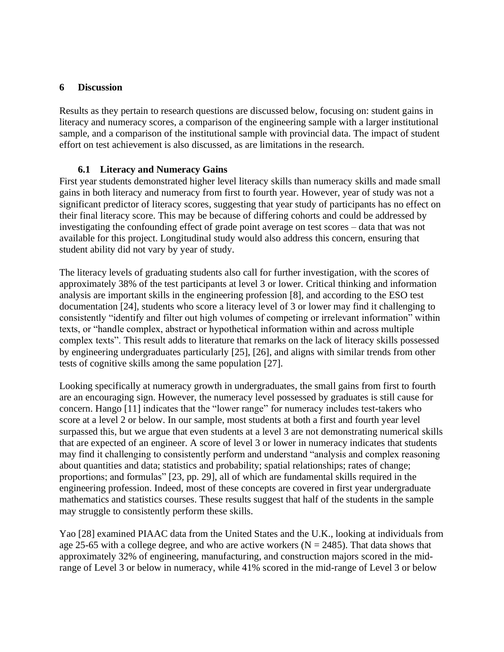#### **6 Discussion**

Results as they pertain to research questions are discussed below, focusing on: student gains in literacy and numeracy scores, a comparison of the engineering sample with a larger institutional sample, and a comparison of the institutional sample with provincial data. The impact of student effort on test achievement is also discussed, as are limitations in the research.

### **6.1 Literacy and Numeracy Gains**

First year students demonstrated higher level literacy skills than numeracy skills and made small gains in both literacy and numeracy from first to fourth year. However, year of study was not a significant predictor of literacy scores, suggesting that year study of participants has no effect on their final literacy score. This may be because of differing cohorts and could be addressed by investigating the confounding effect of grade point average on test scores – data that was not available for this project. Longitudinal study would also address this concern, ensuring that student ability did not vary by year of study.

The literacy levels of graduating students also call for further investigation, with the scores of approximately 38% of the test participants at level 3 or lower. Critical thinking and information analysis are important skills in the engineering profession [8], and according to the ESO test documentation [24], students who score a literacy level of 3 or lower may find it challenging to consistently "identify and filter out high volumes of competing or irrelevant information" within texts, or "handle complex, abstract or hypothetical information within and across multiple complex texts". This result adds to literature that remarks on the lack of literacy skills possessed by engineering undergraduates particularly [25], [26], and aligns with similar trends from other tests of cognitive skills among the same population [27].

Looking specifically at numeracy growth in undergraduates, the small gains from first to fourth are an encouraging sign. However, the numeracy level possessed by graduates is still cause for concern. Hango [11] indicates that the "lower range" for numeracy includes test-takers who score at a level 2 or below. In our sample, most students at both a first and fourth year level surpassed this, but we argue that even students at a level 3 are not demonstrating numerical skills that are expected of an engineer. A score of level 3 or lower in numeracy indicates that students may find it challenging to consistently perform and understand "analysis and complex reasoning about quantities and data; statistics and probability; spatial relationships; rates of change; proportions; and formulas" [23, pp. 29], all of which are fundamental skills required in the engineering profession. Indeed, most of these concepts are covered in first year undergraduate mathematics and statistics courses. These results suggest that half of the students in the sample may struggle to consistently perform these skills.

Yao [28] examined PIAAC data from the United States and the U.K., looking at individuals from age 25-65 with a college degree, and who are active workers ( $N = 2485$ ). That data shows that approximately 32% of engineering, manufacturing, and construction majors scored in the midrange of Level 3 or below in numeracy, while 41% scored in the mid-range of Level 3 or below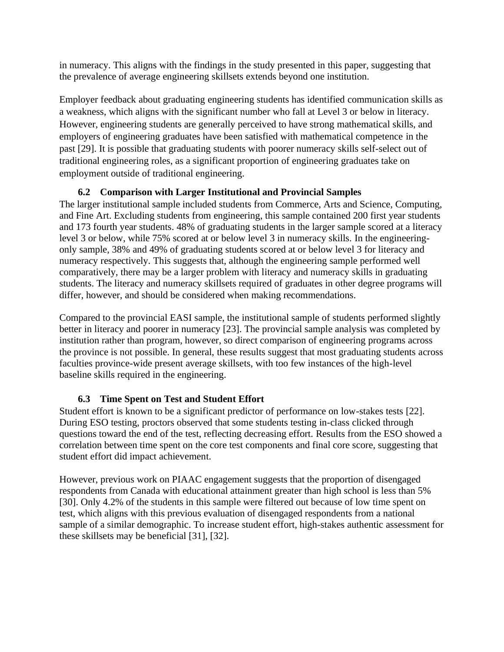in numeracy. This aligns with the findings in the study presented in this paper, suggesting that the prevalence of average engineering skillsets extends beyond one institution.

Employer feedback about graduating engineering students has identified communication skills as a weakness, which aligns with the significant number who fall at Level 3 or below in literacy. However, engineering students are generally perceived to have strong mathematical skills, and employers of engineering graduates have been satisfied with mathematical competence in the past [29]. It is possible that graduating students with poorer numeracy skills self-select out of traditional engineering roles, as a significant proportion of engineering graduates take on employment outside of traditional engineering.

## **6.2 Comparison with Larger Institutional and Provincial Samples**

The larger institutional sample included students from Commerce, Arts and Science, Computing, and Fine Art. Excluding students from engineering, this sample contained 200 first year students and 173 fourth year students. 48% of graduating students in the larger sample scored at a literacy level 3 or below, while 75% scored at or below level 3 in numeracy skills. In the engineeringonly sample, 38% and 49% of graduating students scored at or below level 3 for literacy and numeracy respectively. This suggests that, although the engineering sample performed well comparatively, there may be a larger problem with literacy and numeracy skills in graduating students. The literacy and numeracy skillsets required of graduates in other degree programs will differ, however, and should be considered when making recommendations.

Compared to the provincial EASI sample, the institutional sample of students performed slightly better in literacy and poorer in numeracy [23]. The provincial sample analysis was completed by institution rather than program, however, so direct comparison of engineering programs across the province is not possible. In general, these results suggest that most graduating students across faculties province-wide present average skillsets, with too few instances of the high-level baseline skills required in the engineering.

# **6.3 Time Spent on Test and Student Effort**

Student effort is known to be a significant predictor of performance on low-stakes tests [22]. During ESO testing, proctors observed that some students testing in-class clicked through questions toward the end of the test, reflecting decreasing effort. Results from the ESO showed a correlation between time spent on the core test components and final core score, suggesting that student effort did impact achievement.

However, previous work on PIAAC engagement suggests that the proportion of disengaged respondents from Canada with educational attainment greater than high school is less than 5% [30]. Only 4.2% of the students in this sample were filtered out because of low time spent on test, which aligns with this previous evaluation of disengaged respondents from a national sample of a similar demographic. To increase student effort, high-stakes authentic assessment for these skillsets may be beneficial [31], [32].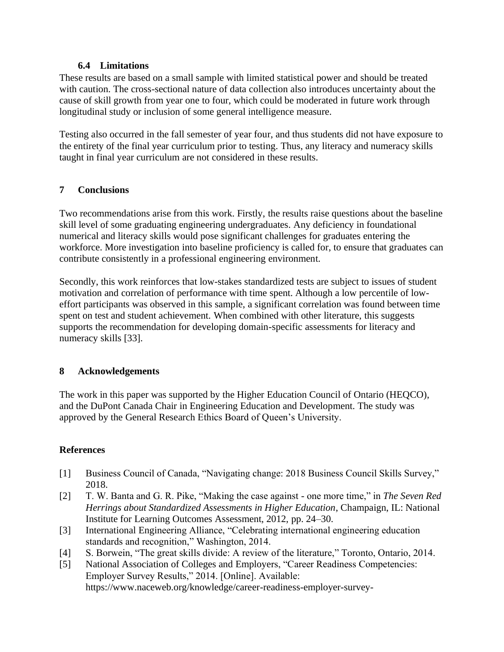#### **6.4 Limitations**

These results are based on a small sample with limited statistical power and should be treated with caution. The cross-sectional nature of data collection also introduces uncertainty about the cause of skill growth from year one to four, which could be moderated in future work through longitudinal study or inclusion of some general intelligence measure.

Testing also occurred in the fall semester of year four, and thus students did not have exposure to the entirety of the final year curriculum prior to testing. Thus, any literacy and numeracy skills taught in final year curriculum are not considered in these results.

### **7 Conclusions**

Two recommendations arise from this work. Firstly, the results raise questions about the baseline skill level of some graduating engineering undergraduates. Any deficiency in foundational numerical and literacy skills would pose significant challenges for graduates entering the workforce. More investigation into baseline proficiency is called for, to ensure that graduates can contribute consistently in a professional engineering environment.

Secondly, this work reinforces that low-stakes standardized tests are subject to issues of student motivation and correlation of performance with time spent. Although a low percentile of loweffort participants was observed in this sample, a significant correlation was found between time spent on test and student achievement. When combined with other literature, this suggests supports the recommendation for developing domain-specific assessments for literacy and numeracy skills [33].

## **8 Acknowledgements**

The work in this paper was supported by the Higher Education Council of Ontario (HEQCO), and the DuPont Canada Chair in Engineering Education and Development. The study was approved by the General Research Ethics Board of Queen's University.

## **References**

- [1] Business Council of Canada, "Navigating change: 2018 Business Council Skills Survey," 2018.
- [2] T. W. Banta and G. R. Pike, "Making the case against one more time," in *The Seven Red Herrings about Standardized Assessments in Higher Education*, Champaign, IL: National Institute for Learning Outcomes Assessment, 2012, pp. 24–30.
- [3] International Engineering Alliance, "Celebrating international engineering education standards and recognition," Washington, 2014.
- [4] S. Borwein, "The great skills divide: A review of the literature," Toronto, Ontario, 2014.
- [5] National Association of Colleges and Employers, "Career Readiness Competencies: Employer Survey Results," 2014. [Online]. Available: https://www.naceweb.org/knowledge/career-readiness-employer-survey-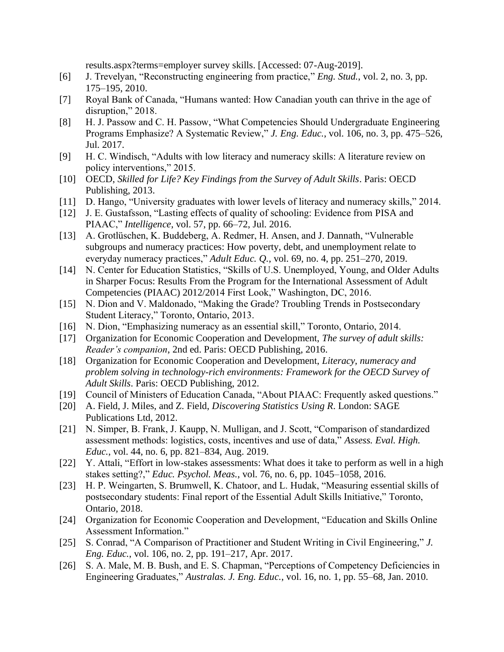results.aspx?terms=employer survey skills. [Accessed: 07-Aug-2019].

- [6] J. Trevelyan, "Reconstructing engineering from practice," *Eng. Stud.*, vol. 2, no. 3, pp. 175–195, 2010.
- [7] Royal Bank of Canada, "Humans wanted: How Canadian youth can thrive in the age of disruption," 2018.
- [8] H. J. Passow and C. H. Passow, "What Competencies Should Undergraduate Engineering Programs Emphasize? A Systematic Review," *J. Eng. Educ.*, vol. 106, no. 3, pp. 475–526, Jul. 2017.
- [9] H. C. Windisch, "Adults with low literacy and numeracy skills: A literature review on policy interventions," 2015.
- [10] OECD, *Skilled for Life? Key Findings from the Survey of Adult Skills*. Paris: OECD Publishing, 2013.
- [11] D. Hango, "University graduates with lower levels of literacy and numeracy skills," 2014.
- [12] J. E. Gustafsson, "Lasting effects of quality of schooling: Evidence from PISA and PIAAC," *Intelligence*, vol. 57, pp. 66–72, Jul. 2016.
- [13] A. Grotlüschen, K. Buddeberg, A. Redmer, H. Ansen, and J. Dannath, "Vulnerable subgroups and numeracy practices: How poverty, debt, and unemployment relate to everyday numeracy practices," *Adult Educ. Q.*, vol. 69, no. 4, pp. 251–270, 2019.
- [14] N. Center for Education Statistics, "Skills of U.S. Unemployed, Young, and Older Adults in Sharper Focus: Results From the Program for the International Assessment of Adult Competencies (PIAAC) 2012/2014 First Look," Washington, DC, 2016.
- [15] N. Dion and V. Maldonado, "Making the Grade? Troubling Trends in Postsecondary Student Literacy," Toronto, Ontario, 2013.
- [16] N. Dion, "Emphasizing numeracy as an essential skill," Toronto, Ontario, 2014.
- [17] Organization for Economic Cooperation and Development, *The survey of adult skills: Reader's companion*, 2nd ed. Paris: OECD Publishing, 2016.
- [18] Organization for Economic Cooperation and Development, *Literacy, numeracy and problem solving in technology-rich environments: Framework for the OECD Survey of Adult Skills*. Paris: OECD Publishing, 2012.
- [19] Council of Ministers of Education Canada, "About PIAAC: Frequently asked questions."
- [20] A. Field, J. Miles, and Z. Field, *Discovering Statistics Using R*. London: SAGE Publications Ltd, 2012.
- [21] N. Simper, B. Frank, J. Kaupp, N. Mulligan, and J. Scott, "Comparison of standardized assessment methods: logistics, costs, incentives and use of data," *Assess. Eval. High. Educ.*, vol. 44, no. 6, pp. 821–834, Aug. 2019.
- [22] Y. Attali, "Effort in low-stakes assessments: What does it take to perform as well in a high stakes setting?," *Educ. Psychol. Meas.*, vol. 76, no. 6, pp. 1045–1058, 2016.
- [23] H. P. Weingarten, S. Brumwell, K. Chatoor, and L. Hudak, "Measuring essential skills of postsecondary students: Final report of the Essential Adult Skills Initiative," Toronto, Ontario, 2018.
- [24] Organization for Economic Cooperation and Development, "Education and Skills Online Assessment Information."
- [25] S. Conrad, "A Comparison of Practitioner and Student Writing in Civil Engineering," *J. Eng. Educ.*, vol. 106, no. 2, pp. 191–217, Apr. 2017.
- [26] S. A. Male, M. B. Bush, and E. S. Chapman, "Perceptions of Competency Deficiencies in Engineering Graduates," *Australas. J. Eng. Educ.*, vol. 16, no. 1, pp. 55–68, Jan. 2010.